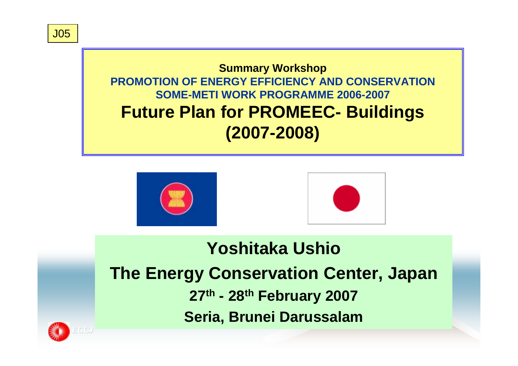J05

### **Summary Workshop PROMOTION OF ENERGY EFFICIENCY AND CONSERVATIONSOME-METI WORK PROGRAMME 2006-2007Future Plan for PROMEEC- Buildings (2007-2008)**





## **Yoshitaka UshioThe Energy Conservation Center, Japan 27th - 28th February 2007 Seria, Brunei Darussalam**

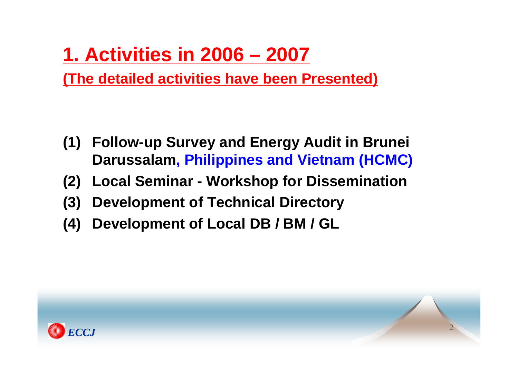## **1. Activities in 2006 – 2007**

**(The detailed activities have been Presented)**

- **(1) Follow-up Survey and Energy Audit in Brunei Darussalam, Philippines and Vietnam (HCMC)**
- **(2) Local Seminar - Workshop for Dissemination**
- **(3) Development of Technical Directory**
- **(4) Development of Local DB / BM / GL**

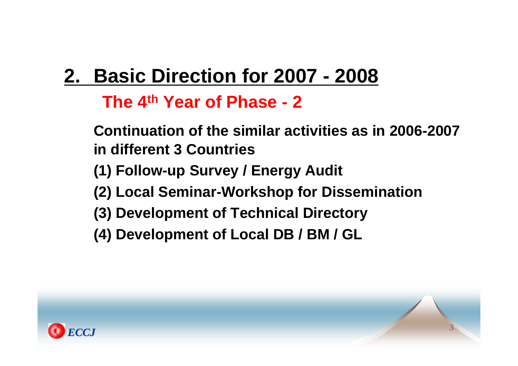# **2. Basic Direction for 2007 - 2008**

## **The 4th Year of Phase - 2**

- **Continuation of the similar activities as in 2006-2007in different 3 Countries**
- **(1) Follow-up Survey / Energy Audit**
- **(2) Local Seminar-Workshop for Dissemination**
- **(3) Development of Technical Directory**
- **(4) Development of Local DB / BM / GL**

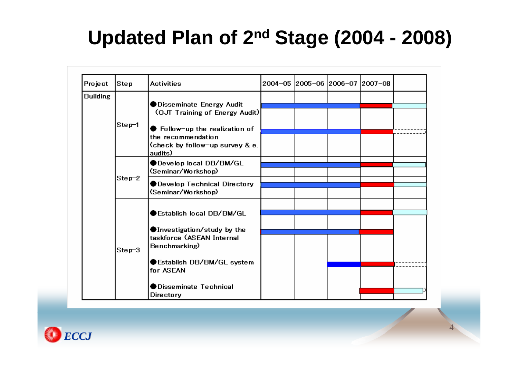## **Updated Plan of 2nd Stage (2004 - 2008)**

| Project         | Step     | <b>Activities</b>                                                                                                            | 2004-05 2005-06 2006-07 2007-08 |  |  |
|-----------------|----------|------------------------------------------------------------------------------------------------------------------------------|---------------------------------|--|--|
| <b>Building</b> | $Step-1$ | ● Disseminate Energy Audit<br>(OJT Training of Energy Audit)<br>$\bullet$ Follow-up the realization of<br>the recommendation |                                 |  |  |
|                 |          |                                                                                                                              |                                 |  |  |
|                 |          |                                                                                                                              |                                 |  |  |
|                 |          |                                                                                                                              |                                 |  |  |
|                 |          | (check by follow-up survey & e.                                                                                              |                                 |  |  |
|                 |          | audits)                                                                                                                      |                                 |  |  |
|                 | $Step-2$ | ●Develop local DB/BM/GL<br>(Seminar/Workshop)                                                                                |                                 |  |  |
|                 |          |                                                                                                                              |                                 |  |  |
|                 |          | ●Develop Technical Directory<br>(Seminar/Workshop)                                                                           |                                 |  |  |
|                 |          |                                                                                                                              |                                 |  |  |
|                 | $Step-3$ | $\blacktriangleright$ Establish local DB/BM/GL<br>●Investigation/study by the<br>taskforce (ASEAN Internal                   |                                 |  |  |
|                 |          |                                                                                                                              |                                 |  |  |
|                 |          |                                                                                                                              |                                 |  |  |
|                 |          |                                                                                                                              |                                 |  |  |
|                 |          | Benchmarking)                                                                                                                |                                 |  |  |
|                 |          | Establish DB/BM/GL system<br>for ASEAN<br>$\bullet$ Disseminate Technical                                                    |                                 |  |  |
|                 |          |                                                                                                                              |                                 |  |  |
|                 |          |                                                                                                                              |                                 |  |  |
|                 |          | Directory                                                                                                                    |                                 |  |  |

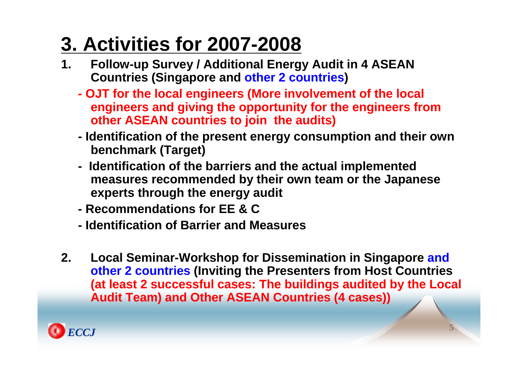# **3. Activities for 2007-2008**

- **1. Follow-up Survey / Additional Energy Audit in 4 ASEAN Countries (Singapore and other 2 countries )**
	- **- OJT for the local engineers (More involvement of the local engineers and giving the opportunity for the engineers from other ASEAN countries to join the audits)**
	- **- Identification of the present energy consumption and their own benchmark (Target)**
	- **- Identification of the barriers and the actual implemented measures recommended by their own team or the Japanese experts through the energy audit**
	- **- Recommendations for EE & C**
	- **- Identification of Barrier and Measures**
- **2. Local Seminar-Workshop for Dissemination in Singapore and other 2 countries (Inviting the Presenters from Host Countries (at least 2 successful cases: The buildings audited by the Local Audit Team) and Other ASEAN Countries (4 cases))**

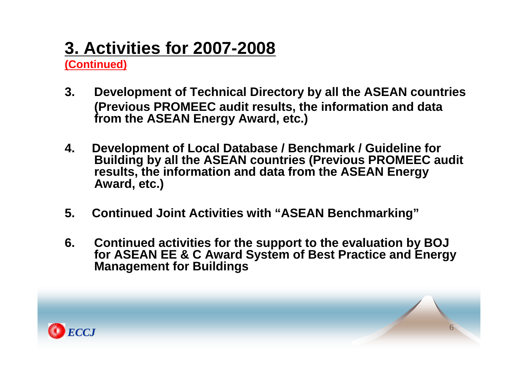## **3. Activities for 2007-2008**

**(Continued)**

- **3. Development of Technical Directory by all the ASEAN countries (Previous PROMEEC audit results, the information and data from the ASEAN Energy Award, etc.)**
- **4. Development of Local Database / Benchmark / Guideline for Building by all the ASEAN countries (Previous PROMEEC audit results, the information and data from the ASEAN Energy Award, etc.)**
- **5. Continued Joint Activities with "ASEAN Benchmarking"**
- **6. Continued activities for the support to the evaluation by BOJ for ASEAN EE & C Award System of Best Practice and Energy Management for Buildings**

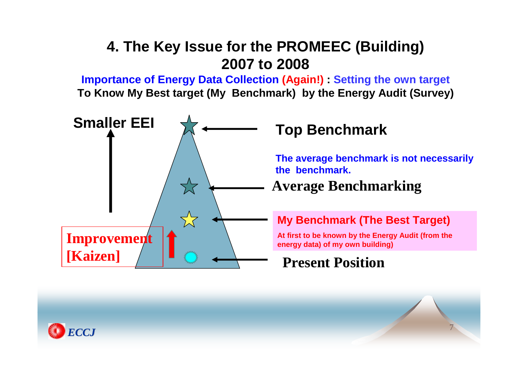## **4. The Key Issue for the PROMEEC (Building) 2007 to 2008**

**Importance of Energy Data Collection (Again!) : Setting the own target To Know My Best target (My Benchmark) by the Energy Audit (Survey)**



**The average benchmark is not necessaril the benchmark.**

#### **Average Benchmarking**

#### **My Benchmark (The Best Target)**

**At first to be known by the Energy Audit (from the energy data) of my own building)**

7

#### **Present Position**

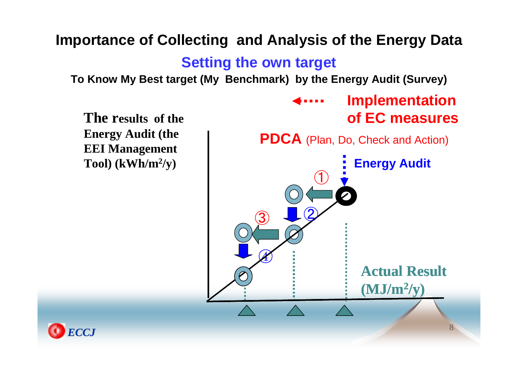#### **Importance of Collecting and Analysis of the Energy Data Setting the own target To Know My Best target (My Benchmark) by the Energy Audit (Survey) The results of the Energy Audit (the EEI Management Tool) (kWh/m 2/y)**  $\bigcirc$  $\bigcirc$ ④ **Actual Result(MJ/m 2/y) Implementation of EC measuresEnergy Audit PDCA** (Plan, Do, Check and Action)  $\bigcirc$

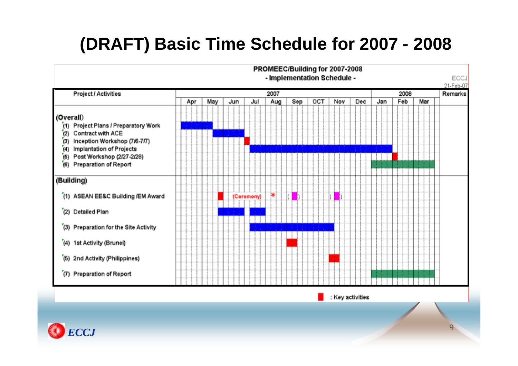## **(DRAFT) Basic Time Schedule for 2007 - 2008**



: Key activities